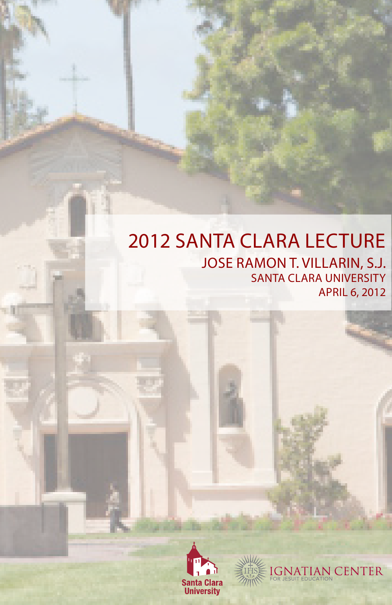## 2012 SANTA CLARA LECTURE JOSE RAMON T. VILLARIN, S.J. SANTA CLARA UNIVERSITY APRIL 6, 2012



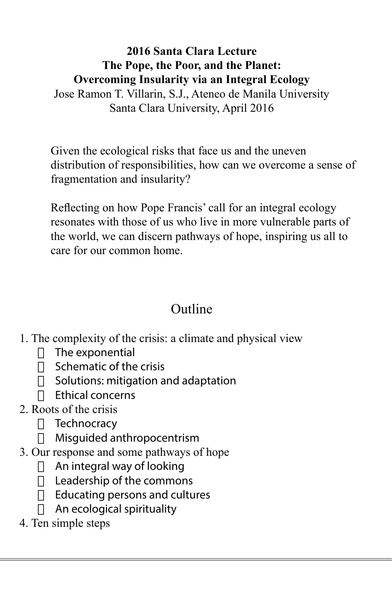#### **2016 Santa Clara Lecture The Pope, the Poor, and the Planet: Overcoming Insularity via an Integral Ecology**

Jose Ramon T. Villarin, S.J., Ateneo de Manila University Santa Clara University, April 2016

Given the ecological risks that face us and the uneven distribution of responsibilities, how can we overcome a sense of fragmentation and insularity?

Reflecting on how Pope Francis' call for an integral ecology resonates with those of us who live in more vulnerable parts of the world, we can discern pathways of hope, inspiring us all to care for our common home.

#### Outline

- 1. The complexity of the crisis: a climate and physical view
	- $\Box$  The exponential
	- $\Box$  Schematic of the crisis
	- $\Box$  Solutions: mitigation and adaptation
	- $\Box$  Ethical concerns
- 2. Roots of the crisis
	- $\Box$  Technocracy
	- $\Box$  Misquided anthropocentrism
- 3. Our response and some pathways of hope
	- $\Box$  An integral way of looking
	- $\Box$  Leadership of the commons
	- $\Box$  Educating persons and cultures
	- $\Box$  An ecological spirituality
- 4. Ten simple steps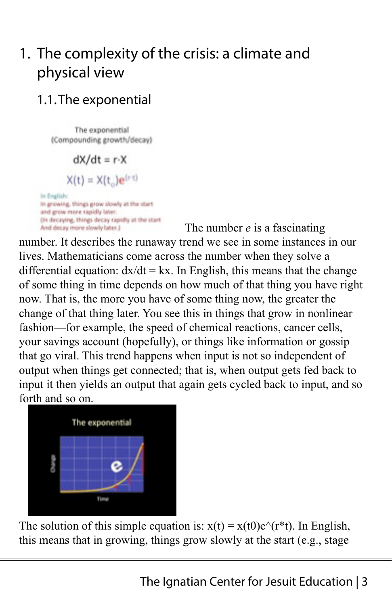# 1. The complexity of the crisis: a climate and physical view

### 1.1.The exponential

The exponential (Compounding growth/decay)

$$
dX/dt = r \cdot X
$$

$$
X(t) = X(t_0)e^{(r \cdot t)}
$$

In Englis In growing, things grow slowly at the start and grow more rapidly later. (In decaying, things decay rapidly at the start And decay more slowly later.)

The number *e* is a fascinating

number. It describes the runaway trend we see in some instances in our lives. Mathematicians come across the number when they solve a differential equation:  $dx/dt = kx$ . In English, this means that the change of some thing in time depends on how much of that thing you have right now. That is, the more you have of some thing now, the greater the change of that thing later. You see this in things that grow in nonlinear fashion—for example, the speed of chemical reactions, cancer cells, your savings account (hopefully), or things like information or gossip that go viral. This trend happens when input is not so independent of output when things get connected; that is, when output gets fed back to input it then yields an output that again gets cycled back to input, and so forth and so on.



The solution of this simple equation is:  $x(t) = x(t0)e^{t/\tau}t$ . In English, this means that in growing, things grow slowly at the start (e.g., stage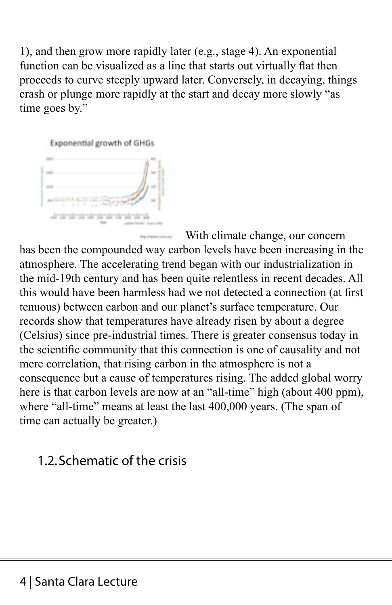1), and then grow more rapidly later (e.g., stage 4). An exponential function can be visualized as a line that starts out virtually flat then proceeds to curve steeply upward later. Conversely, in decaying, things crash or plunge more rapidly at the start and decay more slowly "as time goes by."



With climate change, our concern has been the compounded way carbon levels have been increasing in the atmosphere. The accelerating trend began with our industrialization in the mid-19th century and has been quite relentless in recent decades. All this would have been harmless had we not detected a connection (at first tenuous) between carbon and our planet's surface temperature. Our records show that temperatures have already risen by about a degree (Celsius) since pre-industrial times. There is greater consensus today in the scientific community that this connection is one of causality and not mere correlation, that rising carbon in the atmosphere is not a consequence but a cause of temperatures rising. The added global worry here is that carbon levels are now at an "all-time" high (about 400 ppm), where "all-time" means at least the last 400,000 years. (The span of time can actually be greater.)

#### 1.2.Schematic of the crisis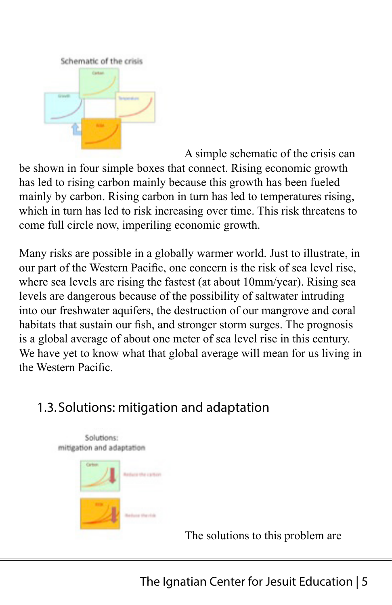

A simple schematic of the crisis can be shown in four simple boxes that connect. Rising economic growth has led to rising carbon mainly because this growth has been fueled mainly by carbon. Rising carbon in turn has led to temperatures rising, which in turn has led to risk increasing over time. This risk threatens to come full circle now, imperiling economic growth.

Many risks are possible in a globally warmer world. Just to illustrate, in our part of the Western Pacific, one concern is the risk of sea level rise, where sea levels are rising the fastest (at about 10mm/year). Rising sea levels are dangerous because of the possibility of saltwater intruding into our freshwater aquifers, the destruction of our mangrove and coral habitats that sustain our fish, and stronger storm surges. The prognosis is a global average of about one meter of sea level rise in this century. We have yet to know what that global average will mean for us living in the Western Pacific.

## 1.3.Solutions: mitigation and adaptation



The solutions to this problem are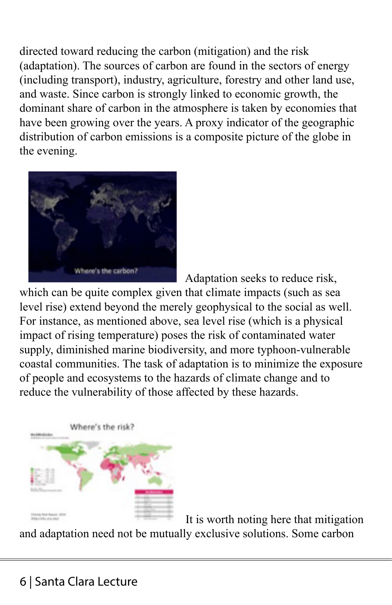directed toward reducing the carbon (mitigation) and the risk (adaptation). The sources of carbon are found in the sectors of energy (including transport), industry, agriculture, forestry and other land use, and waste. Since carbon is strongly linked to economic growth, the dominant share of carbon in the atmosphere is taken by economies that have been growing over the years. A proxy indicator of the geographic distribution of carbon emissions is a composite picture of the globe in the evening.



Adaptation seeks to reduce risk,

which can be quite complex given that climate impacts (such as sea level rise) extend beyond the merely geophysical to the social as well. For instance, as mentioned above, sea level rise (which is a physical impact of rising temperature) poses the risk of contaminated water supply, diminished marine biodiversity, and more typhoon-vulnerable coastal communities. The task of adaptation is to minimize the exposure of people and ecosystems to the hazards of climate change and to reduce the vulnerability of those affected by these hazards.



It is worth noting here that mitigation and adaptation need not be mutually exclusive solutions. Some carbon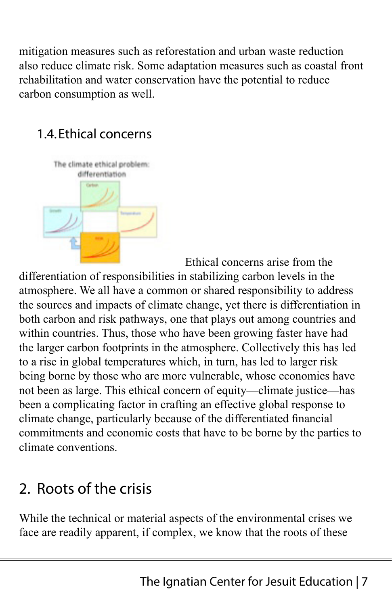mitigation measures such as reforestation and urban waste reduction also reduce climate risk. Some adaptation measures such as coastal front rehabilitation and water conservation have the potential to reduce carbon consumption as well.

## 1.4.Ethical concerns



Ethical concerns arise from the

differentiation of responsibilities in stabilizing carbon levels in the atmosphere. We all have a common or shared responsibility to address the sources and impacts of climate change, yet there is differentiation in both carbon and risk pathways, one that plays out among countries and within countries. Thus, those who have been growing faster have had the larger carbon footprints in the atmosphere. Collectively this has led to a rise in global temperatures which, in turn, has led to larger risk being borne by those who are more vulnerable, whose economies have not been as large. This ethical concern of equity—climate justice—has been a complicating factor in crafting an effective global response to climate change, particularly because of the differentiated financial commitments and economic costs that have to be borne by the parties to climate conventions.

# 2. Roots of the crisis

While the technical or material aspects of the environmental crises we face are readily apparent, if complex, we know that the roots of these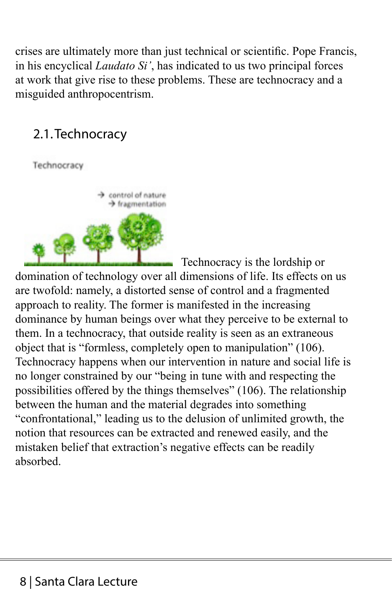crises are ultimately more than just technical or scientific. Pope Francis, in his encyclical *Laudato Si'*, has indicated to us two principal forces at work that give rise to these problems. These are technocracy and a misguided anthropocentrism.

### 2.1.Technocracy

Technocracy



Technocracy is the lordship or

domination of technology over all dimensions of life. Its effects on us are twofold: namely, a distorted sense of control and a fragmented approach to reality. The former is manifested in the increasing dominance by human beings over what they perceive to be external to them. In a technocracy, that outside reality is seen as an extraneous object that is "formless, completely open to manipulation" (106). Technocracy happens when our intervention in nature and social life is no longer constrained by our "being in tune with and respecting the possibilities offered by the things themselves" (106). The relationship between the human and the material degrades into something "confrontational," leading us to the delusion of unlimited growth, the notion that resources can be extracted and renewed easily, and the mistaken belief that extraction's negative effects can be readily absorbed.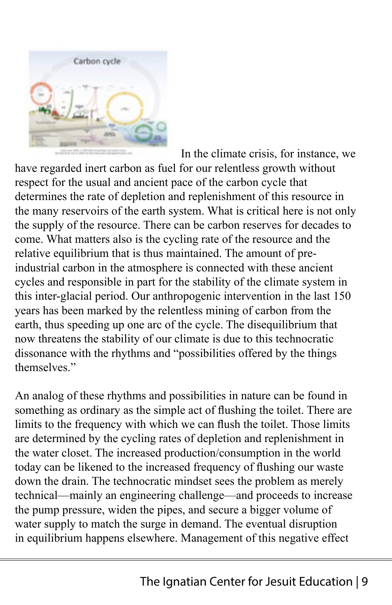

In the climate crisis, for instance, we have regarded inert carbon as fuel for our relentless growth without respect for the usual and ancient pace of the carbon cycle that determines the rate of depletion and replenishment of this resource in the many reservoirs of the earth system. What is critical here is not only the supply of the resource. There can be carbon reserves for decades to come. What matters also is the cycling rate of the resource and the relative equilibrium that is thus maintained. The amount of preindustrial carbon in the atmosphere is connected with these ancient cycles and responsible in part for the stability of the climate system in this inter-glacial period. Our anthropogenic intervention in the last 150 years has been marked by the relentless mining of carbon from the earth, thus speeding up one arc of the cycle. The disequilibrium that now threatens the stability of our climate is due to this technocratic dissonance with the rhythms and "possibilities offered by the things themselves."

An analog of these rhythms and possibilities in nature can be found in something as ordinary as the simple act of flushing the toilet. There are limits to the frequency with which we can flush the toilet. Those limits are determined by the cycling rates of depletion and replenishment in the water closet. The increased production/consumption in the world today can be likened to the increased frequency of flushing our waste down the drain. The technocratic mindset sees the problem as merely technical—mainly an engineering challenge—and proceeds to increase the pump pressure, widen the pipes, and secure a bigger volume of water supply to match the surge in demand. The eventual disruption in equilibrium happens elsewhere. Management of this negative effect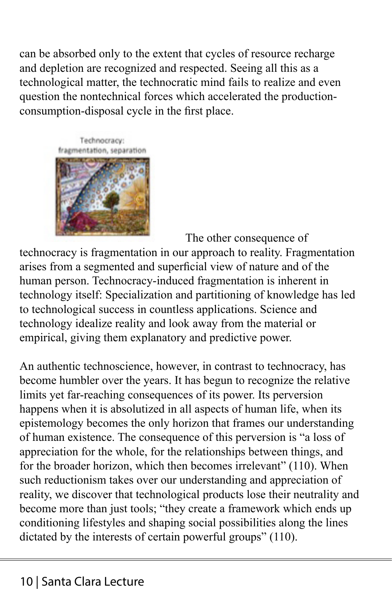can be absorbed only to the extent that cycles of resource recharge and depletion are recognized and respected. Seeing all this as a technological matter, the technocratic mind fails to realize and even question the nontechnical forces which accelerated the productionconsumption-disposal cycle in the first place.



The other consequence of technocracy is fragmentation in our approach to reality. Fragmentation arises from a segmented and superficial view of nature and of the human person. Technocracy-induced fragmentation is inherent in technology itself: Specialization and partitioning of knowledge has led to technological success in countless applications. Science and technology idealize reality and look away from the material or empirical, giving them explanatory and predictive power.

An authentic technoscience, however, in contrast to technocracy, has become humbler over the years. It has begun to recognize the relative limits yet far-reaching consequences of its power. Its perversion happens when it is absolutized in all aspects of human life, when its epistemology becomes the only horizon that frames our understanding of human existence. The consequence of this perversion is "a loss of appreciation for the whole, for the relationships between things, and for the broader horizon, which then becomes irrelevant" (110). When such reductionism takes over our understanding and appreciation of reality, we discover that technological products lose their neutrality and become more than just tools; "they create a framework which ends up conditioning lifestyles and shaping social possibilities along the lines dictated by the interests of certain powerful groups" (110).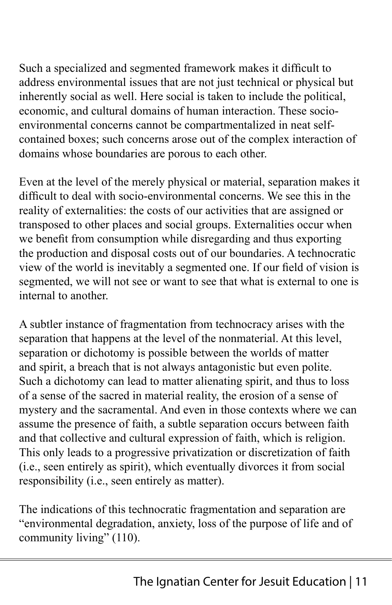Such a specialized and segmented framework makes it difficult to address environmental issues that are not just technical or physical but inherently social as well. Here social is taken to include the political, economic, and cultural domains of human interaction. These socioenvironmental concerns cannot be compartmentalized in neat selfcontained boxes; such concerns arose out of the complex interaction of domains whose boundaries are porous to each other.

Even at the level of the merely physical or material, separation makes it difficult to deal with socio-environmental concerns. We see this in the reality of externalities: the costs of our activities that are assigned or transposed to other places and social groups. Externalities occur when we benefit from consumption while disregarding and thus exporting the production and disposal costs out of our boundaries. A technocratic view of the world is inevitably a segmented one. If our field of vision is segmented, we will not see or want to see that what is external to one is internal to another.

A subtler instance of fragmentation from technocracy arises with the separation that happens at the level of the nonmaterial. At this level, separation or dichotomy is possible between the worlds of matter and spirit, a breach that is not always antagonistic but even polite. Such a dichotomy can lead to matter alienating spirit, and thus to loss of a sense of the sacred in material reality, the erosion of a sense of mystery and the sacramental. And even in those contexts where we can assume the presence of faith, a subtle separation occurs between faith and that collective and cultural expression of faith, which is religion. This only leads to a progressive privatization or discretization of faith (i.e., seen entirely as spirit), which eventually divorces it from social responsibility (i.e., seen entirely as matter).

The indications of this technocratic fragmentation and separation are "environmental degradation, anxiety, loss of the purpose of life and of community living" (110).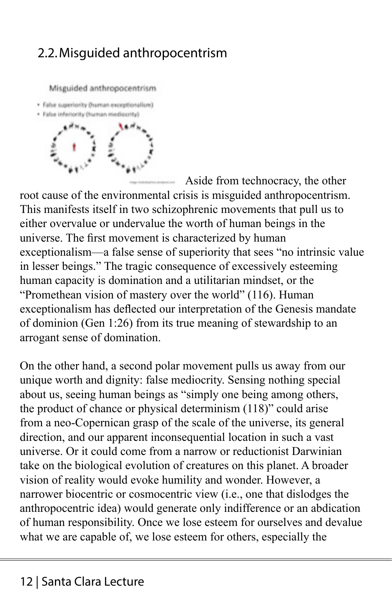### 2.2.Misguided anthropocentrism

Misguided anthropocentrism

· False superiority (human exceptionalism)





Aside from technocracy, the other

root cause of the environmental crisis is misguided anthropocentrism. This manifests itself in two schizophrenic movements that pull us to either overvalue or undervalue the worth of human beings in the universe. The first movement is characterized by human exceptionalism—a false sense of superiority that sees "no intrinsic value in lesser beings." The tragic consequence of excessively esteeming human capacity is domination and a utilitarian mindset, or the "Promethean vision of mastery over the world" (116). Human exceptionalism has deflected our interpretation of the Genesis mandate of dominion (Gen 1:26) from its true meaning of stewardship to an arrogant sense of domination.

On the other hand, a second polar movement pulls us away from our unique worth and dignity: false mediocrity. Sensing nothing special about us, seeing human beings as "simply one being among others, the product of chance or physical determinism (118)" could arise from a neo-Copernican grasp of the scale of the universe, its general direction, and our apparent inconsequential location in such a vast universe. Or it could come from a narrow or reductionist Darwinian take on the biological evolution of creatures on this planet. A broader vision of reality would evoke humility and wonder. However, a narrower biocentric or cosmocentric view (i.e., one that dislodges the anthropocentric idea) would generate only indifference or an abdication of human responsibility. Once we lose esteem for ourselves and devalue what we are capable of, we lose esteem for others, especially the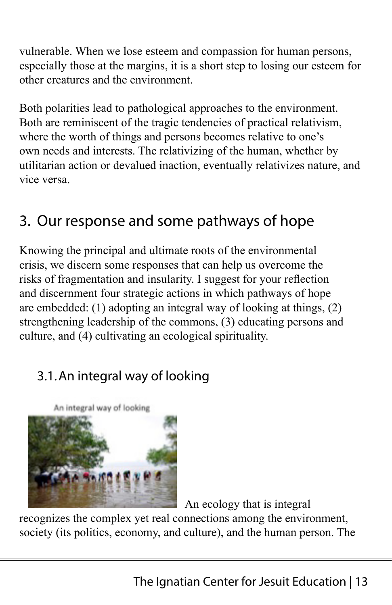vulnerable. When we lose esteem and compassion for human persons, especially those at the margins, it is a short step to losing our esteem for other creatures and the environment.

Both polarities lead to pathological approaches to the environment. Both are reminiscent of the tragic tendencies of practical relativism, where the worth of things and persons becomes relative to one's own needs and interests. The relativizing of the human, whether by utilitarian action or devalued inaction, eventually relativizes nature, and vice versa.

## 3. Our response and some pathways of hope

Knowing the principal and ultimate roots of the environmental crisis, we discern some responses that can help us overcome the risks of fragmentation and insularity. I suggest for your reflection and discernment four strategic actions in which pathways of hope are embedded: (1) adopting an integral way of looking at things, (2) strengthening leadership of the commons, (3) educating persons and culture, and (4) cultivating an ecological spirituality.

## 3.1.An integral way of looking





An ecology that is integral

recognizes the complex yet real connections among the environment, society (its politics, economy, and culture), and the human person. The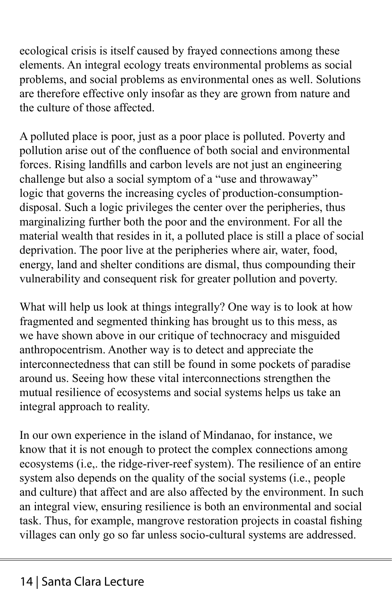ecological crisis is itself caused by frayed connections among these elements. An integral ecology treats environmental problems as social problems, and social problems as environmental ones as well. Solutions are therefore effective only insofar as they are grown from nature and the culture of those affected.

A polluted place is poor, just as a poor place is polluted. Poverty and pollution arise out of the confluence of both social and environmental forces. Rising landfills and carbon levels are not just an engineering challenge but also a social symptom of a "use and throwaway" logic that governs the increasing cycles of production-consumptiondisposal. Such a logic privileges the center over the peripheries, thus marginalizing further both the poor and the environment. For all the material wealth that resides in it, a polluted place is still a place of social deprivation. The poor live at the peripheries where air, water, food, energy, land and shelter conditions are dismal, thus compounding their vulnerability and consequent risk for greater pollution and poverty.

What will help us look at things integrally? One way is to look at how fragmented and segmented thinking has brought us to this mess, as we have shown above in our critique of technocracy and misguided anthropocentrism. Another way is to detect and appreciate the interconnectedness that can still be found in some pockets of paradise around us. Seeing how these vital interconnections strengthen the mutual resilience of ecosystems and social systems helps us take an integral approach to reality.

In our own experience in the island of Mindanao, for instance, we know that it is not enough to protect the complex connections among ecosystems (i.e,. the ridge-river-reef system). The resilience of an entire system also depends on the quality of the social systems (i.e., people and culture) that affect and are also affected by the environment. In such an integral view, ensuring resilience is both an environmental and social task. Thus, for example, mangrove restoration projects in coastal fishing villages can only go so far unless socio-cultural systems are addressed.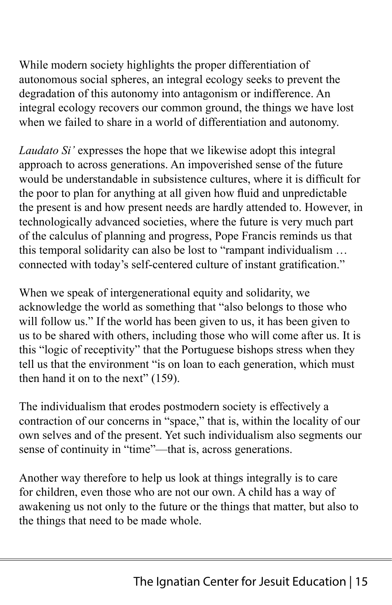While modern society highlights the proper differentiation of autonomous social spheres, an integral ecology seeks to prevent the degradation of this autonomy into antagonism or indifference. An integral ecology recovers our common ground, the things we have lost when we failed to share in a world of differentiation and autonomy.

*Laudato Si'* expresses the hope that we likewise adopt this integral approach to across generations. An impoverished sense of the future would be understandable in subsistence cultures, where it is difficult for the poor to plan for anything at all given how fluid and unpredictable the present is and how present needs are hardly attended to. However, in technologically advanced societies, where the future is very much part of the calculus of planning and progress, Pope Francis reminds us that this temporal solidarity can also be lost to "rampant individualism … connected with today's self-centered culture of instant gratification."

When we speak of intergenerational equity and solidarity, we acknowledge the world as something that "also belongs to those who will follow us." If the world has been given to us, it has been given to us to be shared with others, including those who will come after us. It is this "logic of receptivity" that the Portuguese bishops stress when they tell us that the environment "is on loan to each generation, which must then hand it on to the next" (159).

The individualism that erodes postmodern society is effectively a contraction of our concerns in "space," that is, within the locality of our own selves and of the present. Yet such individualism also segments our sense of continuity in "time"—that is, across generations.

Another way therefore to help us look at things integrally is to care for children, even those who are not our own. A child has a way of awakening us not only to the future or the things that matter, but also to the things that need to be made whole.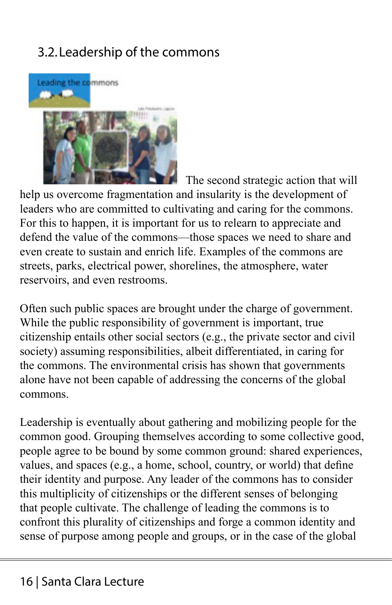## 3.2.Leadership of the commons



The second strategic action that will

help us overcome fragmentation and insularity is the development of leaders who are committed to cultivating and caring for the commons. For this to happen, it is important for us to relearn to appreciate and defend the value of the commons—those spaces we need to share and even create to sustain and enrich life. Examples of the commons are streets, parks, electrical power, shorelines, the atmosphere, water reservoirs, and even restrooms.

Often such public spaces are brought under the charge of government. While the public responsibility of government is important, true citizenship entails other social sectors (e.g., the private sector and civil society) assuming responsibilities, albeit differentiated, in caring for the commons. The environmental crisis has shown that governments alone have not been capable of addressing the concerns of the global commons.

Leadership is eventually about gathering and mobilizing people for the common good. Grouping themselves according to some collective good, people agree to be bound by some common ground: shared experiences, values, and spaces (e.g., a home, school, country, or world) that define their identity and purpose. Any leader of the commons has to consider this multiplicity of citizenships or the different senses of belonging that people cultivate. The challenge of leading the commons is to confront this plurality of citizenships and forge a common identity and sense of purpose among people and groups, or in the case of the global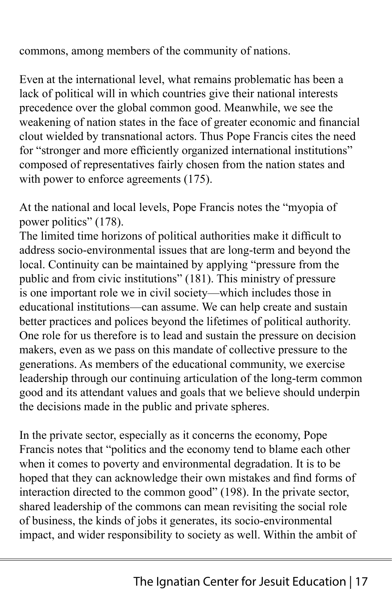commons, among members of the community of nations.

Even at the international level, what remains problematic has been a lack of political will in which countries give their national interests precedence over the global common good. Meanwhile, we see the weakening of nation states in the face of greater economic and financial clout wielded by transnational actors. Thus Pope Francis cites the need for "stronger and more efficiently organized international institutions" composed of representatives fairly chosen from the nation states and with power to enforce agreements (175).

At the national and local levels, Pope Francis notes the "myopia of power politics" (178).

The limited time horizons of political authorities make it difficult to address socio-environmental issues that are long-term and beyond the local. Continuity can be maintained by applying "pressure from the public and from civic institutions" (181). This ministry of pressure is one important role we in civil society—which includes those in educational institutions—can assume. We can help create and sustain better practices and polices beyond the lifetimes of political authority. One role for us therefore is to lead and sustain the pressure on decision makers, even as we pass on this mandate of collective pressure to the generations. As members of the educational community, we exercise leadership through our continuing articulation of the long-term common good and its attendant values and goals that we believe should underpin the decisions made in the public and private spheres.

In the private sector, especially as it concerns the economy, Pope Francis notes that "politics and the economy tend to blame each other when it comes to poverty and environmental degradation. It is to be hoped that they can acknowledge their own mistakes and find forms of interaction directed to the common good" (198). In the private sector, shared leadership of the commons can mean revisiting the social role of business, the kinds of jobs it generates, its socio-environmental impact, and wider responsibility to society as well. Within the ambit of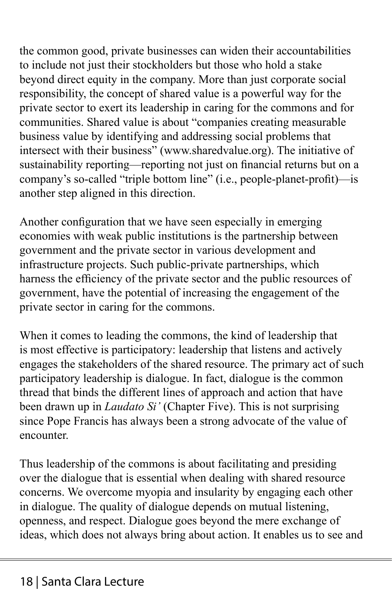the common good, private businesses can widen their accountabilities to include not just their stockholders but those who hold a stake beyond direct equity in the company. More than just corporate social responsibility, the concept of shared value is a powerful way for the private sector to exert its leadership in caring for the commons and for communities. Shared value is about "companies creating measurable business value by identifying and addressing social problems that intersect with their business" (www.sharedvalue.org). The initiative of sustainability reporting—reporting not just on financial returns but on a company's so-called "triple bottom line" (i.e., people-planet-profit)—is another step aligned in this direction.

Another configuration that we have seen especially in emerging economies with weak public institutions is the partnership between government and the private sector in various development and infrastructure projects. Such public-private partnerships, which harness the efficiency of the private sector and the public resources of government, have the potential of increasing the engagement of the private sector in caring for the commons.

When it comes to leading the commons, the kind of leadership that is most effective is participatory: leadership that listens and actively engages the stakeholders of the shared resource. The primary act of such participatory leadership is dialogue. In fact, dialogue is the common thread that binds the different lines of approach and action that have been drawn up in *Laudato Si'* (Chapter Five). This is not surprising since Pope Francis has always been a strong advocate of the value of encounter.

Thus leadership of the commons is about facilitating and presiding over the dialogue that is essential when dealing with shared resource concerns. We overcome myopia and insularity by engaging each other in dialogue. The quality of dialogue depends on mutual listening, openness, and respect. Dialogue goes beyond the mere exchange of ideas, which does not always bring about action. It enables us to see and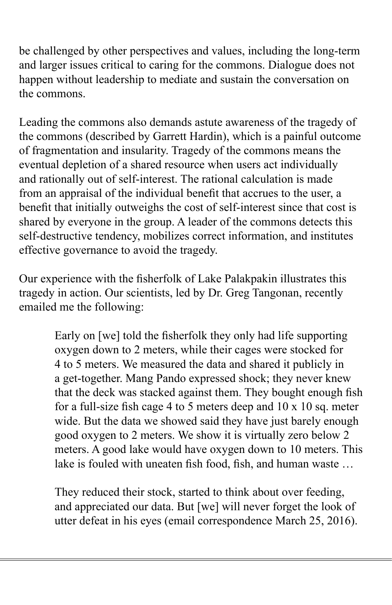be challenged by other perspectives and values, including the long-term and larger issues critical to caring for the commons. Dialogue does not happen without leadership to mediate and sustain the conversation on the commons.

Leading the commons also demands astute awareness of the tragedy of the commons (described by Garrett Hardin), which is a painful outcome of fragmentation and insularity. Tragedy of the commons means the eventual depletion of a shared resource when users act individually and rationally out of self-interest. The rational calculation is made from an appraisal of the individual benefit that accrues to the user, a benefit that initially outweighs the cost of self-interest since that cost is shared by everyone in the group. A leader of the commons detects this self-destructive tendency, mobilizes correct information, and institutes effective governance to avoid the tragedy.

Our experience with the fisherfolk of Lake Palakpakin illustrates this tragedy in action. Our scientists, led by Dr. Greg Tangonan, recently emailed me the following:

> Early on [we] told the fisherfolk they only had life supporting oxygen down to 2 meters, while their cages were stocked for 4 to 5 meters. We measured the data and shared it publicly in a get-together. Mang Pando expressed shock; they never knew that the deck was stacked against them. They bought enough fish for a full-size fish cage 4 to 5 meters deep and 10 x 10 sq. meter wide. But the data we showed said they have just barely enough good oxygen to 2 meters. We show it is virtually zero below 2 meters. A good lake would have oxygen down to 10 meters. This lake is fouled with uneaten fish food, fish, and human waste …

They reduced their stock, started to think about over feeding, and appreciated our data. But [we] will never forget the look of utter defeat in his eyes (email correspondence March 25, 2016).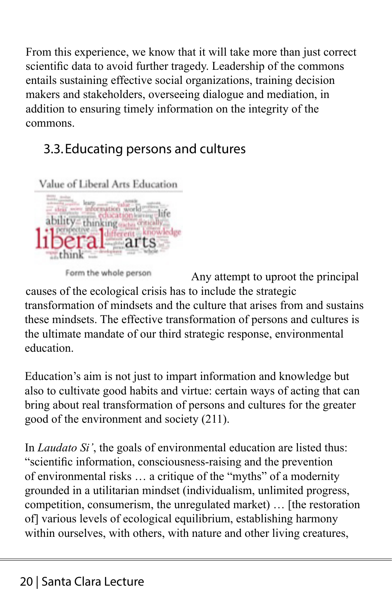From this experience, we know that it will take more than just correct scientific data to avoid further tragedy. Leadership of the commons entails sustaining effective social organizations, training decision makers and stakeholders, overseeing dialogue and mediation, in addition to ensuring timely information on the integrity of the commons.

## 3.3.Educating persons and cultures



Form the whole person

Any attempt to uproot the principal causes of the ecological crisis has to include the strategic transformation of mindsets and the culture that arises from and sustains these mindsets. The effective transformation of persons and cultures is the ultimate mandate of our third strategic response, environmental education.

Education's aim is not just to impart information and knowledge but also to cultivate good habits and virtue: certain ways of acting that can bring about real transformation of persons and cultures for the greater good of the environment and society (211).

In *Laudato Si'*, the goals of environmental education are listed thus: "scientific information, consciousness-raising and the prevention of environmental risks … a critique of the "myths" of a modernity grounded in a utilitarian mindset (individualism, unlimited progress, competition, consumerism, the unregulated market) … [the restoration of] various levels of ecological equilibrium, establishing harmony within ourselves, with others, with nature and other living creatures,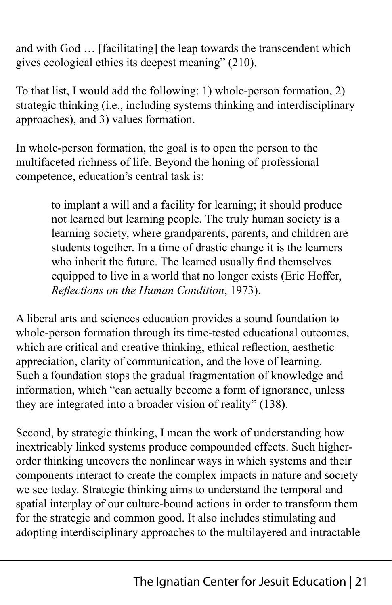and with God … [facilitating] the leap towards the transcendent which gives ecological ethics its deepest meaning" (210).

To that list, I would add the following: 1) whole-person formation, 2) strategic thinking (i.e., including systems thinking and interdisciplinary approaches), and 3) values formation.

In whole-person formation, the goal is to open the person to the multifaceted richness of life. Beyond the honing of professional competence, education's central task is:

> to implant a will and a facility for learning; it should produce not learned but learning people. The truly human society is a learning society, where grandparents, parents, and children are students together. In a time of drastic change it is the learners who inherit the future. The learned usually find themselves equipped to live in a world that no longer exists (Eric Hoffer, *Reflections on the Human Condition*, 1973).

A liberal arts and sciences education provides a sound foundation to whole-person formation through its time-tested educational outcomes, which are critical and creative thinking, ethical reflection, aesthetic appreciation, clarity of communication, and the love of learning. Such a foundation stops the gradual fragmentation of knowledge and information, which "can actually become a form of ignorance, unless they are integrated into a broader vision of reality" (138).

Second, by strategic thinking, I mean the work of understanding how inextricably linked systems produce compounded effects. Such higherorder thinking uncovers the nonlinear ways in which systems and their components interact to create the complex impacts in nature and society we see today. Strategic thinking aims to understand the temporal and spatial interplay of our culture-bound actions in order to transform them for the strategic and common good. It also includes stimulating and adopting interdisciplinary approaches to the multilayered and intractable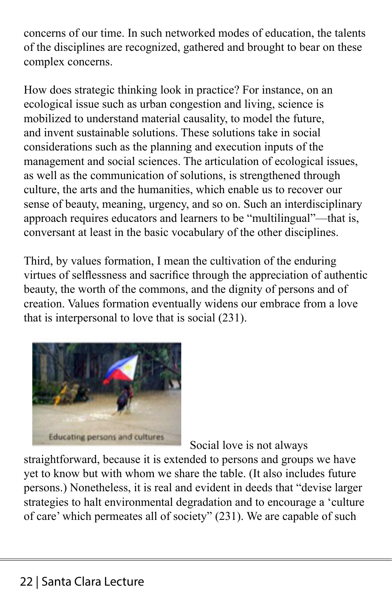concerns of our time. In such networked modes of education, the talents of the disciplines are recognized, gathered and brought to bear on these complex concerns.

How does strategic thinking look in practice? For instance, on an ecological issue such as urban congestion and living, science is mobilized to understand material causality, to model the future, and invent sustainable solutions. These solutions take in social considerations such as the planning and execution inputs of the management and social sciences. The articulation of ecological issues, as well as the communication of solutions, is strengthened through culture, the arts and the humanities, which enable us to recover our sense of beauty, meaning, urgency, and so on. Such an interdisciplinary approach requires educators and learners to be "multilingual"—that is, conversant at least in the basic vocabulary of the other disciplines.

Third, by values formation, I mean the cultivation of the enduring virtues of selflessness and sacrifice through the appreciation of authentic beauty, the worth of the commons, and the dignity of persons and of creation. Values formation eventually widens our embrace from a love that is interpersonal to love that is social (231).



Social love is not always

straightforward, because it is extended to persons and groups we have yet to know but with whom we share the table. (It also includes future persons.) Nonetheless, it is real and evident in deeds that "devise larger strategies to halt environmental degradation and to encourage a 'culture of care' which permeates all of society" (231). We are capable of such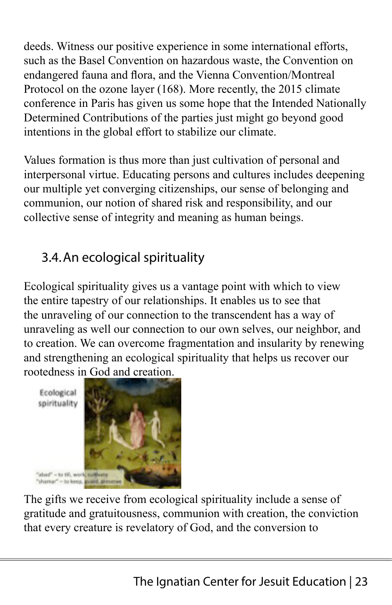deeds. Witness our positive experience in some international efforts, such as the Basel Convention on hazardous waste, the Convention on endangered fauna and flora, and the Vienna Convention/Montreal Protocol on the ozone layer (168). More recently, the 2015 climate conference in Paris has given us some hope that the Intended Nationally Determined Contributions of the parties just might go beyond good intentions in the global effort to stabilize our climate.

Values formation is thus more than just cultivation of personal and interpersonal virtue. Educating persons and cultures includes deepening our multiple yet converging citizenships, our sense of belonging and communion, our notion of shared risk and responsibility, and our collective sense of integrity and meaning as human beings.

## 3.4.An ecological spirituality

Ecological spirituality gives us a vantage point with which to view the entire tapestry of our relationships. It enables us to see that the unraveling of our connection to the transcendent has a way of unraveling as well our connection to our own selves, our neighbor, and to creation. We can overcome fragmentation and insularity by renewing and strengthening an ecological spirituality that helps us recover our rootedness in God and creation.



The gifts we receive from ecological spirituality include a sense of gratitude and gratuitousness, communion with creation, the conviction that every creature is revelatory of God, and the conversion to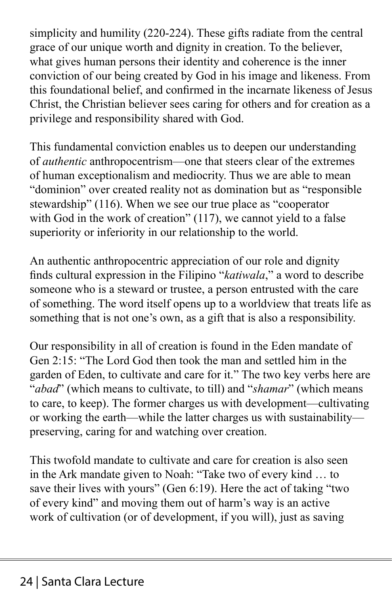simplicity and humility (220-224). These gifts radiate from the central grace of our unique worth and dignity in creation. To the believer, what gives human persons their identity and coherence is the inner conviction of our being created by God in his image and likeness. From this foundational belief, and confirmed in the incarnate likeness of Jesus Christ, the Christian believer sees caring for others and for creation as a privilege and responsibility shared with God.

This fundamental conviction enables us to deepen our understanding of *authentic* anthropocentrism—one that steers clear of the extremes of human exceptionalism and mediocrity. Thus we are able to mean "dominion" over created reality not as domination but as "responsible stewardship" (116). When we see our true place as "cooperator with God in the work of creation" (117), we cannot yield to a false superiority or inferiority in our relationship to the world.

An authentic anthropocentric appreciation of our role and dignity finds cultural expression in the Filipino "*katiwala*," a word to describe someone who is a steward or trustee, a person entrusted with the care of something. The word itself opens up to a worldview that treats life as something that is not one's own, as a gift that is also a responsibility.

Our responsibility in all of creation is found in the Eden mandate of Gen 2:15: "The Lord God then took the man and settled him in the garden of Eden, to cultivate and care for it." The two key verbs here are "*abad*" (which means to cultivate, to till) and "*shamar*" (which means to care, to keep). The former charges us with development—cultivating or working the earth—while the latter charges us with sustainability preserving, caring for and watching over creation.

This twofold mandate to cultivate and care for creation is also seen in the Ark mandate given to Noah: "Take two of every kind … to save their lives with yours" (Gen 6:19). Here the act of taking "two of every kind" and moving them out of harm's way is an active work of cultivation (or of development, if you will), just as saving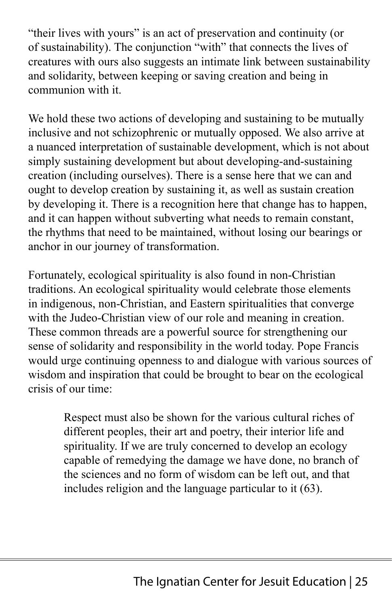"their lives with yours" is an act of preservation and continuity (or of sustainability). The conjunction "with" that connects the lives of creatures with ours also suggests an intimate link between sustainability and solidarity, between keeping or saving creation and being in communion with it.

We hold these two actions of developing and sustaining to be mutually inclusive and not schizophrenic or mutually opposed. We also arrive at a nuanced interpretation of sustainable development, which is not about simply sustaining development but about developing-and-sustaining creation (including ourselves). There is a sense here that we can and ought to develop creation by sustaining it, as well as sustain creation by developing it. There is a recognition here that change has to happen, and it can happen without subverting what needs to remain constant, the rhythms that need to be maintained, without losing our bearings or anchor in our journey of transformation.

Fortunately, ecological spirituality is also found in non-Christian traditions. An ecological spirituality would celebrate those elements in indigenous, non-Christian, and Eastern spiritualities that converge with the Judeo-Christian view of our role and meaning in creation. These common threads are a powerful source for strengthening our sense of solidarity and responsibility in the world today. Pope Francis would urge continuing openness to and dialogue with various sources of wisdom and inspiration that could be brought to bear on the ecological crisis of our time:

> Respect must also be shown for the various cultural riches of different peoples, their art and poetry, their interior life and spirituality. If we are truly concerned to develop an ecology capable of remedying the damage we have done, no branch of the sciences and no form of wisdom can be left out, and that includes religion and the language particular to it (63).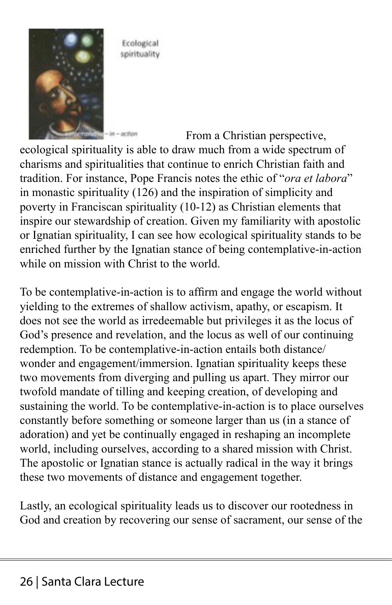

Ecological spirituality

From a Christian perspective, ecological spirituality is able to draw much from a wide spectrum of charisms and spiritualities that continue to enrich Christian faith and tradition. For instance, Pope Francis notes the ethic of "*ora et labora*" in monastic spirituality (126) and the inspiration of simplicity and poverty in Franciscan spirituality (10-12) as Christian elements that inspire our stewardship of creation. Given my familiarity with apostolic or Ignatian spirituality, I can see how ecological spirituality stands to be enriched further by the Ignatian stance of being contemplative-in-action while on mission with Christ to the world.

To be contemplative-in-action is to affirm and engage the world without yielding to the extremes of shallow activism, apathy, or escapism. It does not see the world as irredeemable but privileges it as the locus of God's presence and revelation, and the locus as well of our continuing redemption. To be contemplative-in-action entails both distance/ wonder and engagement/immersion. Ignatian spirituality keeps these two movements from diverging and pulling us apart. They mirror our twofold mandate of tilling and keeping creation, of developing and sustaining the world. To be contemplative-in-action is to place ourselves constantly before something or someone larger than us (in a stance of adoration) and yet be continually engaged in reshaping an incomplete world, including ourselves, according to a shared mission with Christ. The apostolic or Ignatian stance is actually radical in the way it brings these two movements of distance and engagement together.

Lastly, an ecological spirituality leads us to discover our rootedness in God and creation by recovering our sense of sacrament, our sense of the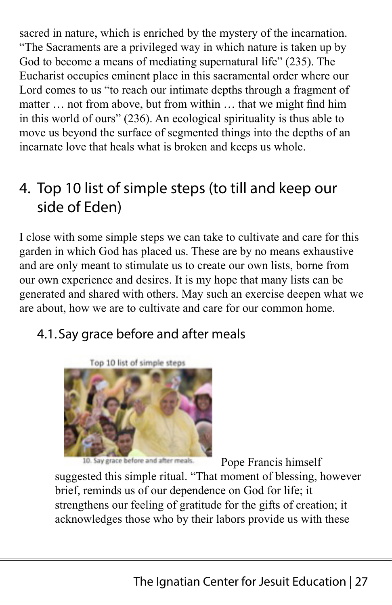sacred in nature, which is enriched by the mystery of the incarnation. "The Sacraments are a privileged way in which nature is taken up by God to become a means of mediating supernatural life" (235). The Eucharist occupies eminent place in this sacramental order where our Lord comes to us "to reach our intimate depths through a fragment of matter … not from above, but from within … that we might find him in this world of ours" (236). An ecological spirituality is thus able to move us beyond the surface of segmented things into the depths of an incarnate love that heals what is broken and keeps us whole.

# 4. Top 10 list of simple steps (to till and keep our side of Eden)

I close with some simple steps we can take to cultivate and care for this garden in which God has placed us. These are by no means exhaustive and are only meant to stimulate us to create our own lists, borne from our own experience and desires. It is my hope that many lists can be generated and shared with others. May such an exercise deepen what we are about, how we are to cultivate and care for our common home.

## 4.1.Say grace before and after meals



Say grace before and after meals.

Pope Francis himself

suggested this simple ritual. "That moment of blessing, however brief, reminds us of our dependence on God for life; it strengthens our feeling of gratitude for the gifts of creation; it acknowledges those who by their labors provide us with these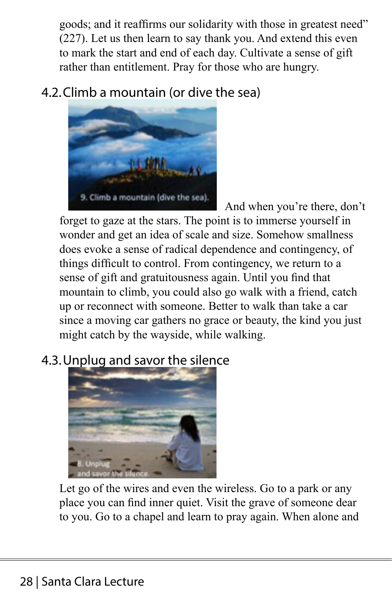goods; and it reaffirms our solidarity with those in greatest need" (227). Let us then learn to say thank you. And extend this even to mark the start and end of each day. Cultivate a sense of gift rather than entitlement. Pray for those who are hungry.

## 4.2.Climb a mountain (or dive the sea)



And when you're there, don't forget to gaze at the stars. The point is to immerse yourself in wonder and get an idea of scale and size. Somehow smallness does evoke a sense of radical dependence and contingency, of things difficult to control. From contingency, we return to a sense of gift and gratuitousness again. Until you find that mountain to climb, you could also go walk with a friend, catch up or reconnect with someone. Better to walk than take a car since a moving car gathers no grace or beauty, the kind you just might catch by the wayside, while walking.

## 4.3.Unplug and savor the silence



Let go of the wires and even the wireless. Go to a park or any place you can find inner quiet. Visit the grave of someone dear to you. Go to a chapel and learn to pray again. When alone and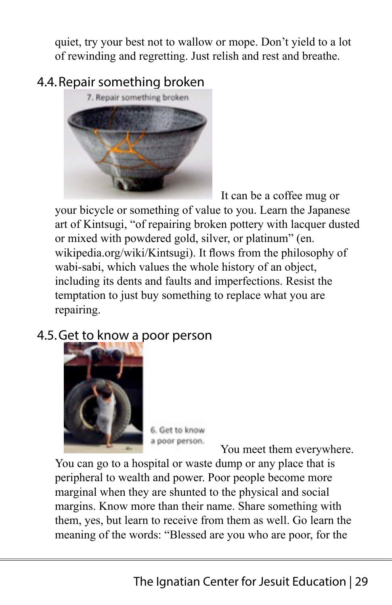quiet, try your best not to wallow or mope. Don't yield to a lot of rewinding and regretting. Just relish and rest and breathe.

## 4.4.Repair something broken



It can be a coffee mug or

your bicycle or something of value to you. Learn the Japanese art of Kintsugi, "of repairing broken pottery with lacquer dusted or mixed with powdered gold, silver, or platinum" (en. wikipedia.org/wiki/Kintsugi). It flows from the philosophy of wabi-sabi, which values the whole history of an object, including its dents and faults and imperfections. Resist the temptation to just buy something to replace what you are repairing.

### 4.5.Get to know a poor person



6. Get to know a poor person.

You meet them everywhere.

You can go to a hospital or waste dump or any place that is peripheral to wealth and power. Poor people become more marginal when they are shunted to the physical and social margins. Know more than their name. Share something with them, yes, but learn to receive from them as well. Go learn the meaning of the words: "Blessed are you who are poor, for the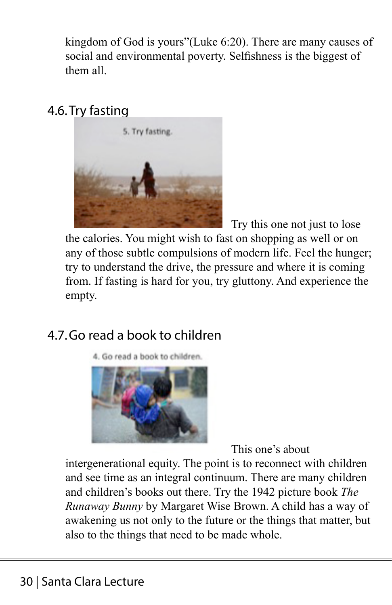kingdom of God is yours"(Luke 6:20). There are many causes of social and environmental poverty. Selfishness is the biggest of them all.

### 4.6.Try fasting



Try this one not just to lose the calories. You might wish to fast on shopping as well or on any of those subtle compulsions of modern life. Feel the hunger; try to understand the drive, the pressure and where it is coming from. If fasting is hard for you, try gluttony. And experience the empty.

#### 4.7.Go read a book to children

4. Go read a book to children.



This one's about

intergenerational equity. The point is to reconnect with children and see time as an integral continuum. There are many children and children's books out there. Try the 1942 picture book *The Runaway Bunny* by Margaret Wise Brown. A child has a way of awakening us not only to the future or the things that matter, but also to the things that need to be made whole.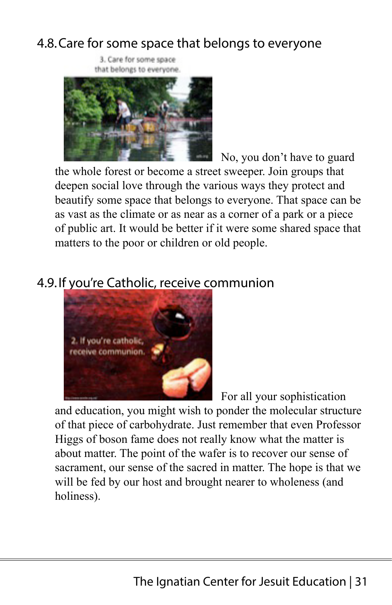#### 4.8.Care for some space that belongs to everyone

3. Care for some space that belongs to everyone.



No, you don't have to guard the whole forest or become a street sweeper. Join groups that deepen social love through the various ways they protect and beautify some space that belongs to everyone. That space can be as vast as the climate or as near as a corner of a park or a piece of public art. It would be better if it were some shared space that matters to the poor or children or old people.

## 4.9.If you're Catholic, receive communion



For all your sophistication

and education, you might wish to ponder the molecular structure of that piece of carbohydrate. Just remember that even Professor Higgs of boson fame does not really know what the matter is about matter. The point of the wafer is to recover our sense of sacrament, our sense of the sacred in matter. The hope is that we will be fed by our host and brought nearer to wholeness (and holiness).